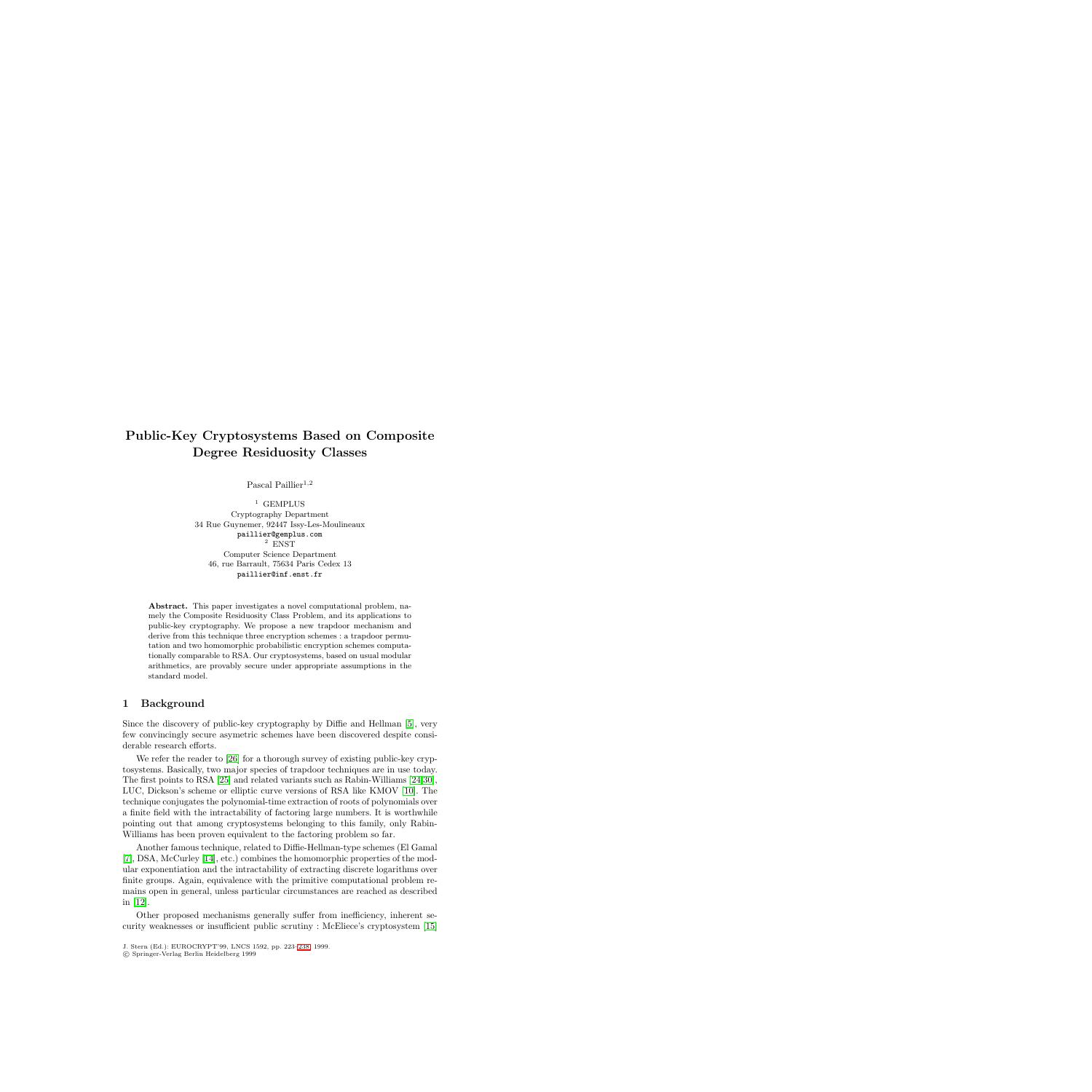# **Public-Key Cryptosystems Based on Composite Degree Residuosity Classes**

Pascal Paillier<sup>1,2</sup>

<sup>1</sup> GEMPLUS Cryptography Department 34 Rue Guynemer, 92447 Issy-Les-Moulineaux paillier@gemplus.com <sup>2</sup> ENST Computer Science Department 46, rue Barrault, 75634 Paris Cedex 13  $\mathbf{r}$  we have the contract of  $\mathbf{r}$ 

**Abstract.** This paper investigates a novel computational problem, namely the Composite Residuosity Class Problem, and its applications to public-key cryptography. We propose a new trapdoor mechanism and derive from this technique three encryption schemes : a trapdoor permutation and two homomorphic probabilistic encryption schemes computationally comparable to RSA. Our cryptosystems, based on usual modular arithmetics, are provably secure under appropriate assumptions in the standard model.

#### **1 Background**

Since the discovery of public-key cryptography by Diffie and Hellman [\[5\]](#page-14-0), very few convincingly secure asymetric schemes have been discovered despite considerable research efforts.

We refer the reader to [\[26\]](#page-15-0) for a thorough survey of existing public-key cryptosystems. Basically, two major species of trapdoor techniques are in use today. The first points to RSA [\[25\]](#page-15-1) and related variants such as Rabin-Williams [\[24](#page-15-2)[,30\]](#page-15-3), LUC, Dickson's scheme or elliptic curve versions of RSA like KMOV [\[10\]](#page-14-1). The technique conjugates the polynomial-time extraction of roots of polynomials over a finite field with the intractability of factoring large numbers. It is worthwhile pointing out that among cryptosystems belonging to this family, only Rabin-Williams has been proven equivalent to the factoring problem so far.

Another famous technique, related to Diffie-Hellman-type schemes (El Gamal [\[7\]](#page-14-2), DSA, McCurley [\[14\]](#page-14-3), etc.) combines the homomorphic properties of the modular exponentiation and the intractability of extracting discrete logarithms over finite groups. Again, equivalence with the primitive computational problem remains open in general, unless particular circumstances are reached as described in [\[12\]](#page-14-4).

Other proposed mechanisms generally suffer from inefficiency, inherent security weaknesses or insufficient public scrutiny : McEliece's cryptosystem [\[15\]](#page-14-5)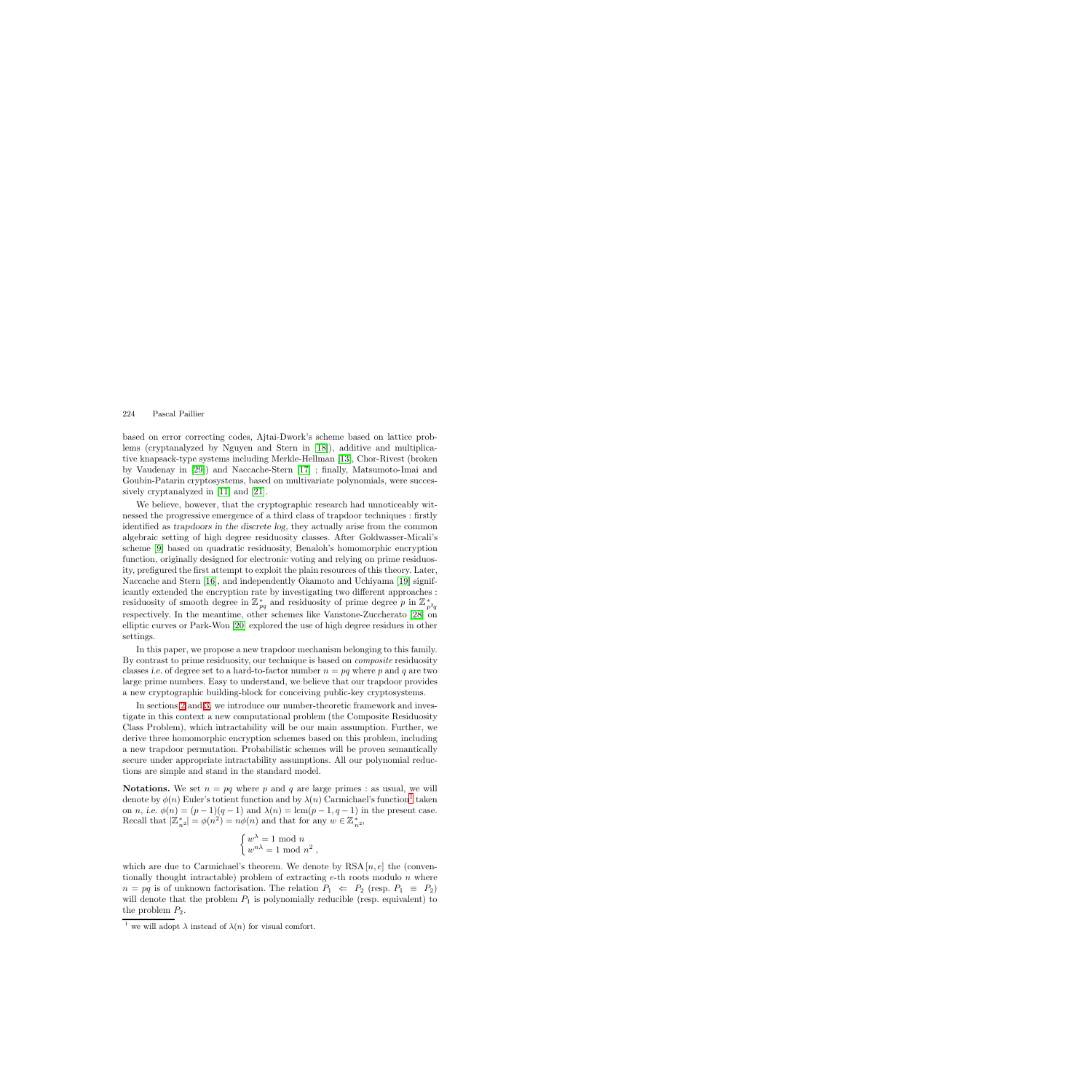based on error correcting codes, Ajtai-Dwork's scheme based on lattice problems (cryptanalyzed by Nguyen and Stern in [\[18\]](#page-15-5)), additive and multiplicative knapsack-type systems including Merkle-Hellman [\[13\]](#page-14-6), Chor-Rivest (broken by Vaudenay in [\[29\]](#page-15-6)) and Naccache-Stern [\[17\]](#page-15-7) ; finally, Matsumoto-Imai and Goubin-Patarin cryptosystems, based on multivariate polynomials, were successively cryptanalyzed in [\[11\]](#page-14-7) and [\[21\]](#page-15-8).

We believe, however, that the cryptographic research had unnoticeably witnessed the progressive emergence of a third class of trapdoor techniques : firstly identified as *trapdoors in the discrete log*, they actually arise from the common algebraic setting of high degree residuosity classes. After Goldwasser-Micali's scheme [\[9\]](#page-14-8) based on quadratic residuosity, Benaloh's homomorphic encryption function, originally designed for electronic voting and relying on prime residuosity, prefigured the first attempt to exploit the plain resources of this theory. Later, Naccache and Stern [\[16\]](#page-14-9), and independently Okamoto and Uchiyama [\[19\]](#page-15-9) significantly extended the encryption rate by investigating two different approaches : residuosity of smooth degree in  $\mathbb{Z}_{pq}^{*}$  and residuosity of prime degree p in  $\mathbb{Z}_{p}^{*}$ residuosity of smooth degree in  $\omega_{pq}$  and residuosity of prime degree p in  $\omega_{p^2q}$ <br>respectively. In the meantime, other schemes like Vanstone-Zuccherato [\[28\]](#page-15-10) on elliptic curves or Park-Won [\[20\]](#page-15-11) explored the use of high degree residues in other settings.

In this paper, we propose a new trapdoor mechanism belonging to this family. By contrast to prime residuosity, our technique is based on *composite* residuosity classes *i.e.* of degree set to a hard-to-factor number  $n = pq$  where p and q are two large prime numbers. Easy to understand, we believe that our trapdoor provides a new cryptographic building-block for conceiving public-key cryptosystems.

In sections [2](#page-2-0) and [3,](#page-2-1) we introduce our number-theoretic framework and investigate in this context a new computational problem (the Composite Residuosity Class Problem), which intractability will be our main assumption. Further, we derive three homomorphic encryption schemes based on this problem, including a new trapdoor permutation. Probabilistic schemes will be proven semantically secure under appropriate intractability assumptions. All our polynomial reductions are simple and stand in the standard model.

**Notations.** We set  $n = pq$  where p and q are large primes : as usual, we will denote by  $\phi(n)$  Euler's totient function and by  $\lambda(n)$  Carmichael's function<sup>[1](#page-1-0)</sup> taken on *n*, *i.e.*  $\phi(n) = (p - 1)(q - 1)$  and  $\lambda(n) = \text{lcm}(p - 1, q - 1)$  in the present case. Recall that  $|\mathbb{Z}_{n^2}^*| = \phi(n^2) = n\phi(n)$  and that for any  $w \in \mathbb{Z}_{n^2}^*$ ,

$$
\begin{cases} w^{\lambda} = 1 \bmod n \\ w^{n\lambda} = 1 \bmod n^2 \end{cases}
$$

which are due to Carmichael's theorem. We denote by RSA  $[n, e]$  the (conventionally thought intractable) problem of extracting  $e$ -th roots modulo n where  $n = pq$  is of unknown factorisation. The relation  $P_1 \Leftrightarrow P_2$  (resp.  $P_1 \equiv P_2$ ) will denote that the problem  $P_1$  is polynomially reducible (resp. equivalent) to the problem  $P_2$ .

<span id="page-1-0"></span><sup>&</sup>lt;sup>1</sup> we will adopt  $\lambda$  instead of  $\lambda(n)$  for visual comfort.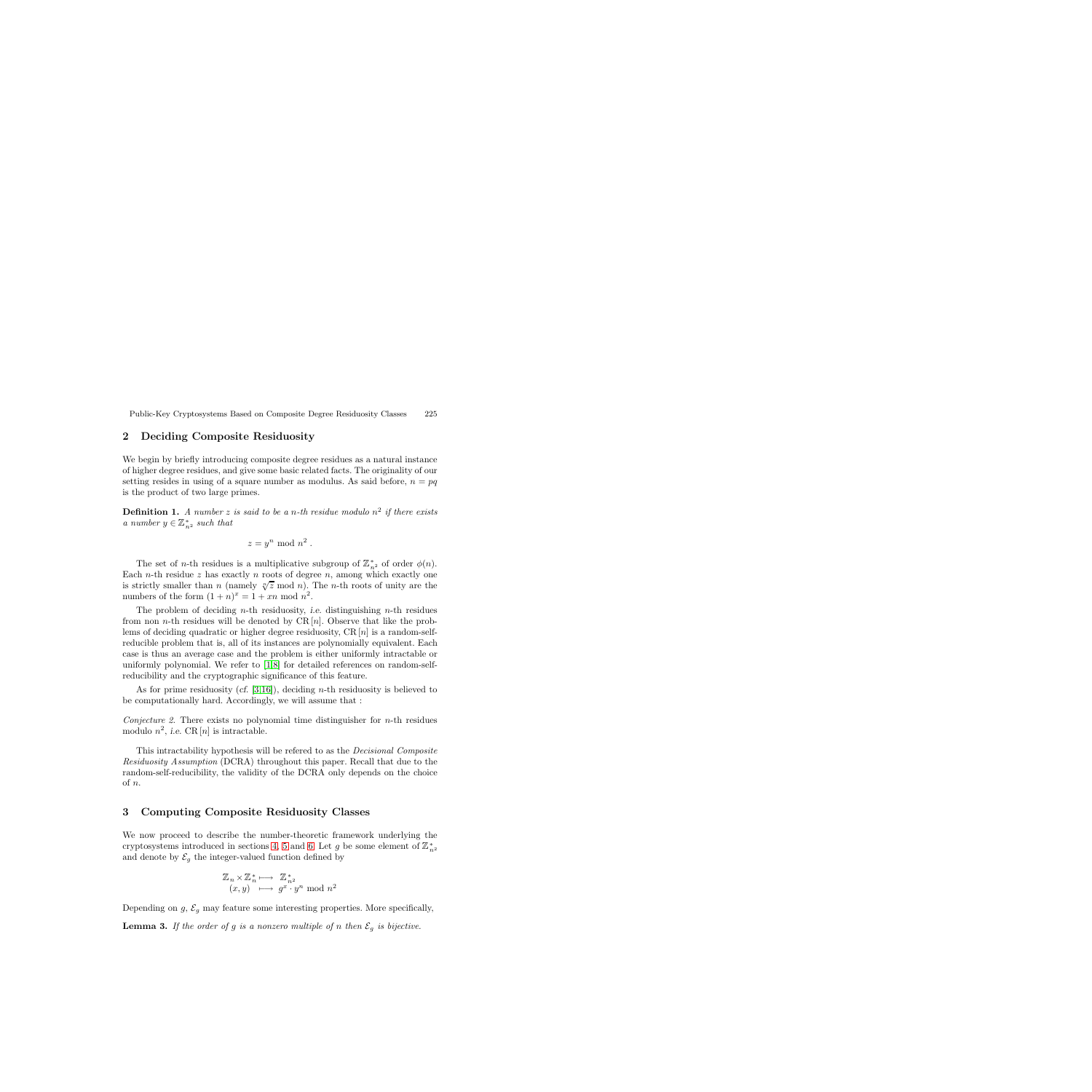#### <span id="page-2-0"></span>**2 Deciding Composite Residuosity**

We begin by briefly introducing composite degree residues as a natural instance of higher degree residues, and give some basic related facts. The originality of our setting resides in using of a square number as modulus. As said before,  $n = pq$ is the product of two large primes.

**Definition 1.** A number z is said to be a n-th residue modulo  $n^2$  if there exists *a number*  $y \in \mathbb{Z}_{n^2}^*$  *such that* 

$$
z = y^n \bmod n^2.
$$

The set of *n*-th residues is a multiplicative subgroup of  $\mathbb{Z}_{n^2}^*$  of order  $\phi(n)$ .<br>
the *n*-th residue z has exactly *n* roots of degree *n* among which exactly one Each *n*-th residue z has exactly *n* roots of degree *n*, among which exactly one Each *n*-th residue z has exactly *n* roots of degree *n*, allong which exactly one<br>is strictly smaller than *n* (namely  $\sqrt[n]{z}$  mod *n*). The *n*-th roots of unity are the<br>numbers of the form  $(1+n)^x - 1 + xn \mod n^2$ numbers of the form  $(1 + n)^x = 1 + xn \mod n^2$ .

The problem of deciding n-th residuosity, *i.e.* distinguishing n-th residues from non *n*-th residues will be denoted by CR  $[n]$ . Observe that like the problems of deciding quadratic or higher degree residuosity,  $CR[n]$  is a random-selfreducible problem that is, all of its instances are polynomially equivalent. Each case is thus an average case and the problem is either uniformly intractable or uniformly polynomial. We refer to [\[1](#page-14-10)[,8\]](#page-14-11) for detailed references on random-selfreducibility and the cryptographic significance of this feature.

As for prime residuosity (*cf.* [\[3](#page-14-12)[,16\]](#page-14-9)), deciding n-th residuosity is believed to be computationally hard. Accordingly, we will assume that :

*Conjecture 2.* There exists no polynomial time distinguisher for  $n$ -th residues modulo  $n^2$ , *i.e.* CR [n] is intractable.

This intractability hypothesis will be refered to as the *Decisional Composite Residuosity Assumption* (DCRA) throughout this paper. Recall that due to the random-self-reducibility, the validity of the DCRA only depends on the choice of n.

#### <span id="page-2-1"></span>**3 Computing Composite Residuosity Classes**

We now proceed to describe the number-theoretic framework underlying the cryptosystems introduced in sections [4,](#page-6-0) [5](#page-7-0) and [6.](#page-8-0) Let g be some element of  $\mathbb{Z}_{n^2}^*$ <br>and denote by  $\mathcal{E}_n$  the integer-valued function defined by and denote by  $\mathcal{E}_g$  the integer-valued function defined by

$$
\mathbb{Z}_n \times \mathbb{Z}_n^* \longmapsto \mathbb{Z}_{n^2}^*
$$
  

$$
(x, y) \longmapsto g^x \cdot y^n \mod n^2
$$

Depending on  $g, \mathcal{E}_g$  may feature some interesting properties. More specifically,

**Lemma 3.** If the order of g is a nonzero multiple of n then  $\mathcal{E}_g$  is bijective.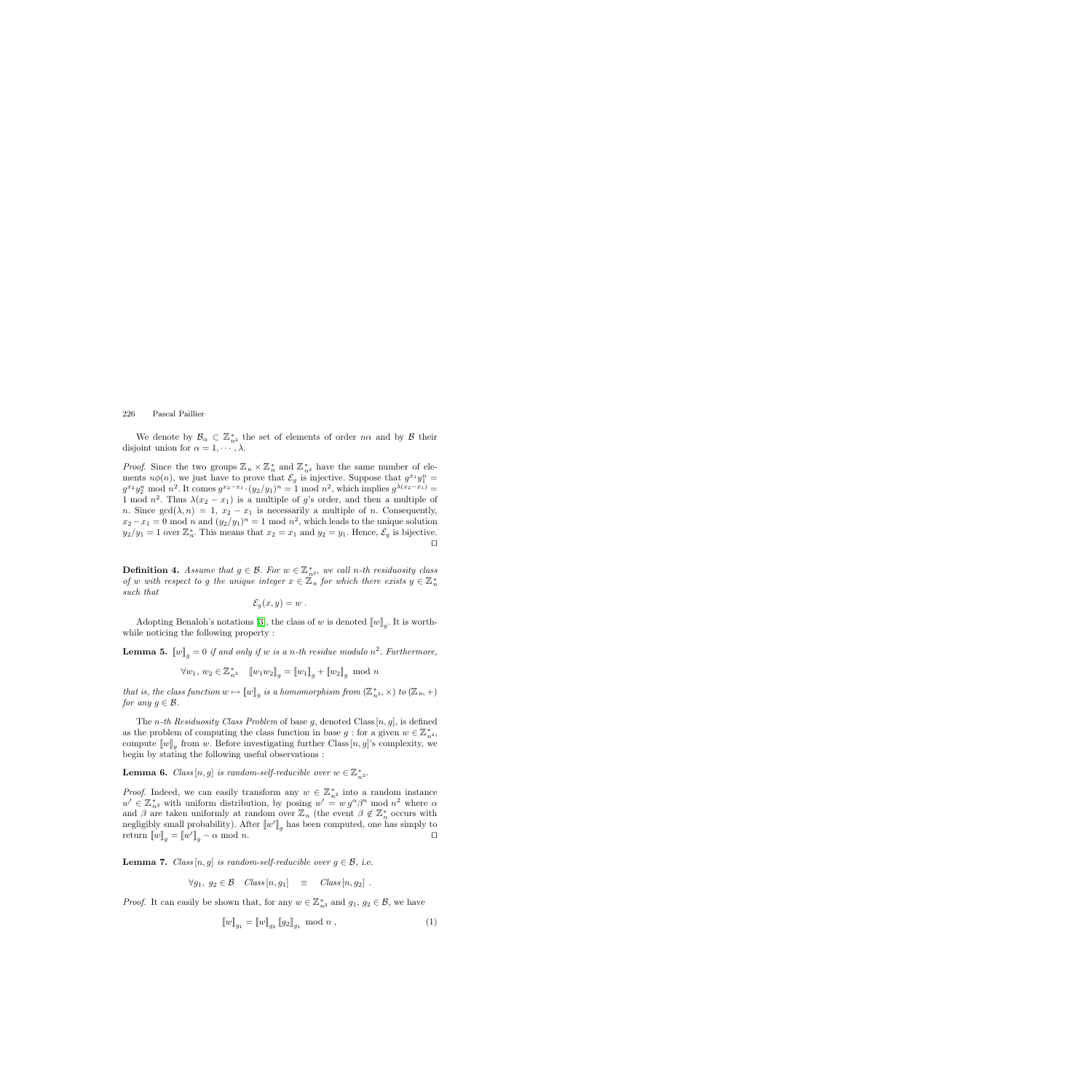We denote by  $\mathcal{B}_{\alpha} \subset \mathbb{Z}_{n^2}^*$  the set of elements of order  $n\alpha$  and by  $\beta$  their out union for  $\alpha = 1, \ldots, \lambda$ disjoint union for  $\alpha = 1, \dots, \lambda$ .

*Proof.* Since the two groups  $\mathbb{Z}_n \times \mathbb{Z}_n^*$  and  $\mathbb{Z}_{n^2}^*$  have the same number of ele-<br>ments  $n\phi(n)$ , we just have to prove that  $\mathcal{E}$  is injective. Suppose that  $a^{x_1}u^n$ ments  $n\phi(n)$ , we just have to prove that  $\mathcal{E}_g$  is injective. Suppose that  $g^{x_1}y_1^n =$ <br> $g^{x_2}y_1^n$  mod  $n^2$ . It comes  $g^{x_2-x_1}$ ,  $(y_2/y_1)^n - 1$  mod  $n^2$ , which implies  $g^{\lambda(x_2-x_1)}$  $g^{x_2}y_2^n$  mod  $n^2$ . It comes  $g^{x_2-x_1} \cdot (y_2/y_1)^n = 1$  mod  $n^2$ , which implies  $g^{\lambda(x_2-x_1)} =$ <br>1 mod  $n^2$ . Thus  $\lambda(x_2-x_1)$  is a multiple of a's order, and then a multiple of 1 mod  $n^2$ . Thus  $\lambda(x_2 - x_1)$  is a multiple of g's order, and then a multiple of n. Since  $gcd(\lambda, n) = 1$ ,  $x_2 - x_1$  is necessarily a multiple of n. Consequently,  $x_2 - x_1 = 0 \text{ mod } n$  and  $(y_2/y_1)^n = 1 \text{ mod } n^2$ , which leads to the unique solution  $y_2/y_1 = 1$  over  $\mathbb{Z}_n^*$ . This means that  $x_2 = x_1$  and  $y_2 = y_1$ . Hence,  $\mathcal{E}_g$  is bijective.  $\Box$ 

**Definition 4.** Assume that  $g \in \mathcal{B}$ . For  $w \in \mathbb{Z}_{n^2}^*$ , we call n-th residuosity class of w with respect to a the unique integer  $x \in \mathbb{Z}^*$  for which there exists  $u \in \mathbb{Z}^*$ *of* w with respect to g the unique integer  $x \in \mathbb{Z}_n$  for which there exists  $y \in \mathbb{Z}_n^*$ *such that*

$$
\mathcal{E}_g(x,y)=w.
$$

<span id="page-3-2"></span>Adopting Benaloh's notations [\[3\]](#page-14-12), the class of w is denoted  $[[w]]_q$ . It is worthwhile noticing the following property :

**Lemma 5.**  $[[w]]_q = 0$  *if and only if* w *is a n*-th residue modulo  $n^2$ . Furthermore,

$$
\forall w_1, w_2 \in \mathbb{Z}_{n^2}^* \quad [ [w_1 w_2]_g = [w_1]_g + [w_2]_g \mod n
$$

*that is, the class function*  $w \mapsto [w]_g$  *is a homomorphism from*  $(\mathbb{Z}_{n^2}^*, \times)$  *to*  $(\mathbb{Z}_n, +)$ <br>*for any*  $g \in \mathcal{B}$ *for any*  $g \in \mathcal{B}$ .

The *n*-th Residuosity Class Problem of base g, denoted Class  $[n, g]$ , is defined as the problem of computing the class function in base  $g$ : for a given  $w \in \mathbb{Z}_{n^2}^*$ ,<br>compute  $\llbracket w \rrbracket$  from w Before investigating further Class  $[n]$  also complexity we compute  $\llbracket w \rrbracket_q$  from w. Before investigating further Class  $[n, g]'$ s complexity, we begin by stating the following useful observations :

**Lemma 6.** *Class*  $[n, g]$  *is random-self-reducible over*  $w \in \mathbb{Z}_{n^2}^*$ .

*Proof.* Indeed, we can easily transform any  $w \in \mathbb{Z}_{n^2}^*$  into a random instance  $w' \in \mathbb{Z}^*$  with uniform distribution by posing  $w' = w \alpha^{\alpha} \beta^n$  mod  $n^2$  where  $\alpha$  $w' \in \mathbb{Z}_{n^2}^*$  with uniform distribution, by posing  $w' = w g^{\alpha} \beta^n \mod n^2$  where  $\alpha$ <br>and  $\beta$  are taken uniformly at random over  $\mathbb{Z}_n$  (the event  $\beta \not\in \mathbb{Z}^*$  occurs with and  $\beta$  are taken uniformly at random over  $\mathbb{Z}_n$  (the event  $\beta \notin \mathbb{Z}_n^*$  occurs with negligibly small probability). After  $\llbracket w \rrbracket$  has been computed, one has simply to negligibly small probability). After  $\llbracket w' \rrbracket_g$  has been computed, one has simply to<br>return  $\llbracket w \rrbracket = \llbracket w'' \rrbracket = \alpha \mod n$ return  $[\![w]\!]_g = [\![w']\!]_g - \alpha \mod n.$ 

<span id="page-3-0"></span>**Lemma 7.** *Class*  $[n, g]$  *is random-self-reducible over*  $g \in \mathcal{B}$ , *i.e.* 

$$
\forall g_1, \ g_2 \in \mathcal{B} \quad Class[n, g_1] \equiv Class[n, g_2].
$$

*Proof.* It can easily be shown that, for any  $w \in \mathbb{Z}_{n^2}^*$  and  $g_1, g_2 \in \mathcal{B}$ , we have

<span id="page-3-1"></span>
$$
\llbracket w \rrbracket_{g_1} = \llbracket w \rrbracket_{g_2} \llbracket g_2 \rrbracket_{g_1} \mod n \,, \tag{1}
$$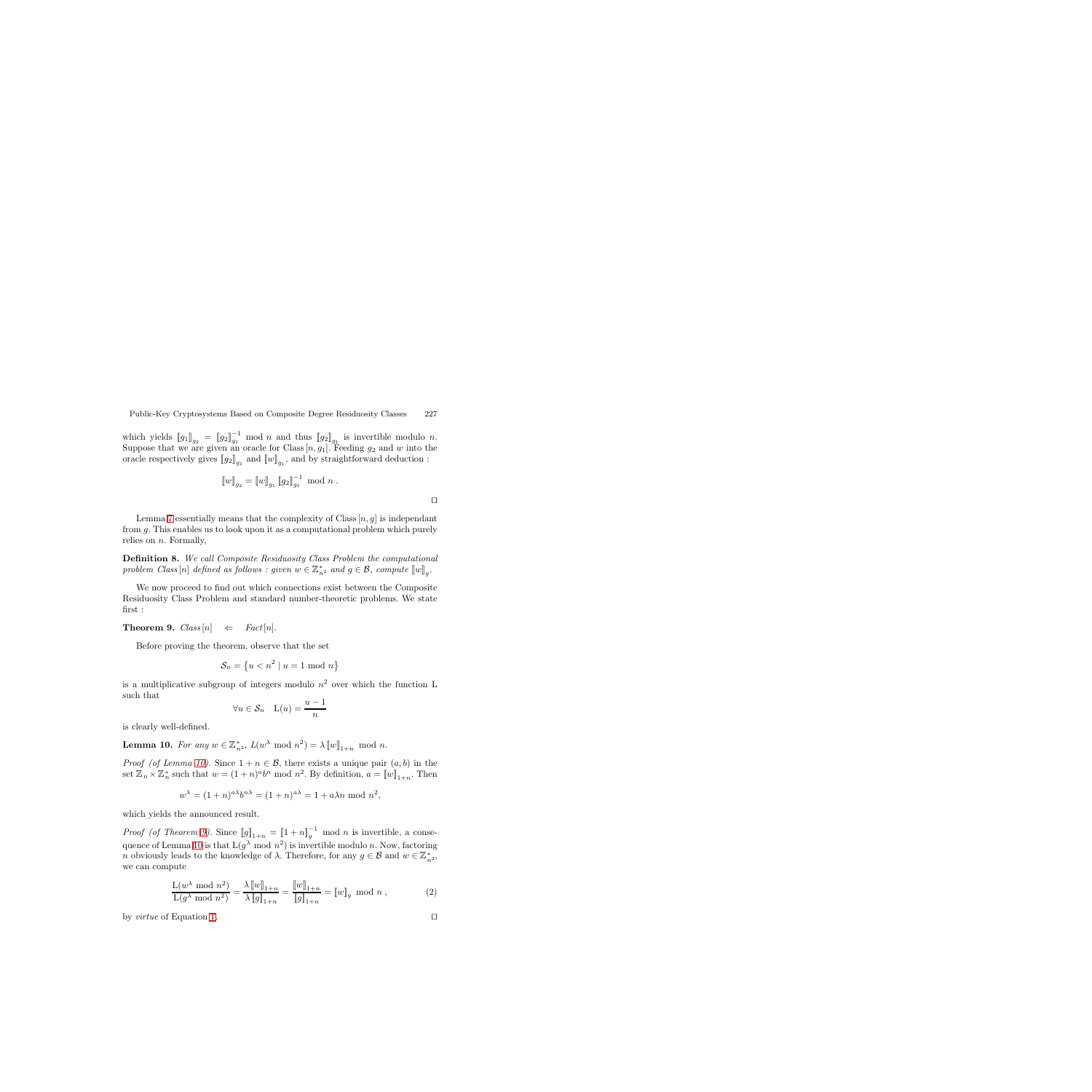which yields  $[[g_1]]_{g_2} = [[g_2]]_{g_1}^{-1}$  mod n and thus  $[[g_2]]_{g_1}$  is invertible modulo n.<br>Suppose that we are given an oracle for Class  $[n, a_1]$ . Reeding  $g_2$  and  $w$  into the Suppose that we are given an oracle for Class  $[n, g_1]$ . Feeding  $g_2$  and w into the oracle respectively gives  $\llbracket a_2 \rrbracket$  and  $\llbracket w \rrbracket$  and by straightforward deduction. oracle respectively gives  $[\![g_2]\!]_{q_1}$  and  $[\![w]\!]_{q_1}$ , and by straightforward deduction :

$$
\llbracket w \rrbracket_{g_2} = \llbracket w \rrbracket_{g_1} \llbracket g_2 \rrbracket_{g_1}^{-1} \mod n .
$$

Lemma [7](#page-3-0) essentially means that the complexity of Class  $[n, g]$  is independant from g. This enables us to look upon it as a computational problem which purely relies on  $n$ . Formally,

**Definition 8.** *We call Composite Residuosity Class Problem the computational problem Class*  $[n]$  *defined as follows : given*  $w \in \mathbb{Z}_{n^2}^*$  *and*  $g \in \mathcal{B}$ *, compute*  $[[w]]_g$ *.* 

We now proceed to find out which connections exist between the Composite Residuosity Class Problem and standard number-theoretic problems. We state first :

<span id="page-4-1"></span>**Theorem 9.**  $Class[n] \Leftrightarrow Fact[n].$ 

Before proving the theorem, observe that the set

$$
\mathcal{S}_n = \left\{ u < n^2 \mid u = 1 \text{ mod } n \right\}
$$

is a multiplicative subgroup of integers modulo  $n^2$  over which the function L such that

$$
\forall u \in \mathcal{S}_n \quad \mathcal{L}(u) = \frac{u-1}{n}
$$

<span id="page-4-0"></span>is clearly well-defined.

**Lemma 10.** *For any*  $w \in \mathbb{Z}_{n^2}^*$ ,  $L(w^{\lambda} \mod n^2) = \lambda [w]_{1+n} \mod n$ .

*Proof (of Lemma [10\)](#page-4-0).* Since  $1 + n \in \mathcal{B}$ , there exists a unique pair  $(a, b)$  in the set  $\mathbb{Z}_n \times \mathbb{Z}_n^*$  such that  $w = (1+n)^a b^n \mod n^2$ . By definition,  $a = [w]_{1+n}$ . Then

$$
w^{\lambda} = (1+n)^{a\lambda}b^{n\lambda} = (1+n)^{a\lambda} = 1 + a\lambda n \text{ mod } n^2,
$$

which yields the announced result.

*Proof (of Theorem [9\)](#page-4-1)*. Since  $[\![g]\!]_{1+n} = [\![1+n]\!]_g^{-1}$  mod *n* is invertible, a conse-<br>guanos of Lamma 10 is that  $[(\alpha) \mod n]^2$  is invertible module n. Name factoring quence of Lemma [10](#page-4-0) is that  $L(g^{\lambda} \mod n^2)$  is invertible modulo n. Now, factoring *n* obviously leads to the knowledge of  $\lambda$ . Therefore, for any  $g \in \mathcal{B}$  and  $w \in \mathbb{Z}_{n^2}^*$ , we can compute we can compute

$$
\frac{\mathcal{L}(w^{\lambda} \text{ mod } n^2)}{\mathcal{L}(g^{\lambda} \text{ mod } n^2)} = \frac{\lambda \llbracket w \rrbracket_{1+n}}{\lambda \llbracket g \rrbracket_{1+n}} = \frac{\llbracket w \rrbracket_{1+n}}{\llbracket g \rrbracket_{1+n}} = \llbracket w \rrbracket_g \text{ mod } n , \tag{2}
$$

<span id="page-4-3"></span>by *virtue* of Equation [1.](#page-3-1)  $\Box$ 

<span id="page-4-2"></span>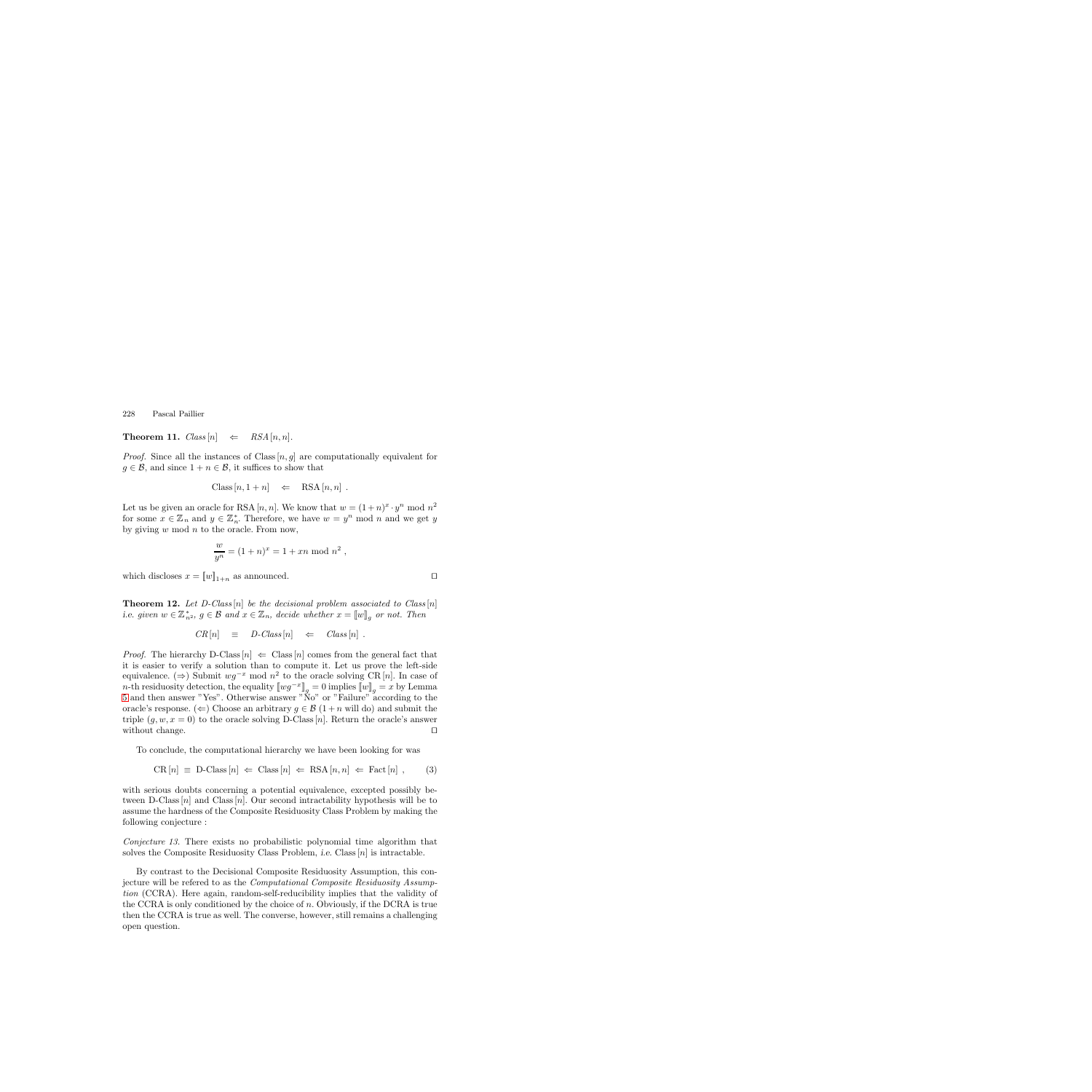**Theorem 11.**  $Class[n] \Leftrightarrow RSA[n, n].$ 

*Proof.* Since all the instances of Class  $[n, g]$  are computationally equivalent for  $g \in \mathcal{B}$ , and since  $1 + n \in \mathcal{B}$ , it suffices to show that

$$
Class[n, 1+n] \Leftrightarrow RSA[n, n].
$$

Let us be given an oracle for RSA [n, n]. We know that  $w = (1+n)^x \cdot y^n \mod n^2$ for some  $x \in \mathbb{Z}_n$  and  $y \in \mathbb{Z}_n^*$ . Therefore, we have  $w = y^n \mod n$  and we get y<br>by giving w mod n to the oracle From now by giving  $w \mod n$  to the oracle. From now,

$$
\frac{w}{y^n} = (1+n)^x = 1 + xn \bmod n^2,
$$

which discloses  $x = [w]_{1+n}$  as announced.

**Theorem 12.** *Let D-Class* [n] *be the decisional problem associated to Class* [n] *i.e.* given  $w \in \mathbb{Z}_{n^2}^*$ ,  $g \in \mathcal{B}$  and  $x \in \mathbb{Z}_n$ , decide whether  $x = \llbracket w \rrbracket_g$  or not. Then

$$
CR[n] \equiv D\text{-}\nClass[n] \Leftarrow \nClass[n] .
$$

*Proof.* The hierarchy D-Class  $|n| \Leftarrow$  Class  $|n|$  comes from the general fact that it is easier to verify a solution than to compute it. Let us prove the left-side equivalence. (⇒) Submit  $wg^{-x} \mod n^2$  to the oracle solving CR [n]. In case of n-th residuosity detection, the equality  $[\![wg^{-x}]\!]_q = 0$  implies  $[\![w]\!]_q = x$  by Lemma [5](#page-3-2) and then answer "Yes". Otherwise answer "No" or "Failure" according to the oracle's response. ( $\Leftarrow$ ) Choose an arbitrary  $q \in \mathcal{B}$  (1+n will do) and submit the triple  $(g, w, x = 0)$  to the oracle solving D-Class [n]. Return the oracle's answer without change. without change.

To conclude, the computational hierarchy we have been looking for was

$$
CR[n] \equiv D-Class[n] \Leftarrow Class[n] \Leftarrow RSA[n, n] \Leftarrow Fact[n], \quad (3)
$$

with serious doubts concerning a potential equivalence, excepted possibly between D-Class  $[n]$  and Class  $[n]$ . Our second intractability hypothesis will be to assume the hardness of the Composite Residuosity Class Problem by making the following conjecture :

*Conjecture 13.* There exists no probabilistic polynomial time algorithm that solves the Composite Residuosity Class Problem, *i.e.* Class  $[n]$  is intractable.

By contrast to the Decisional Composite Residuosity Assumption, this conjecture will be refered to as the *Computational Composite Residuosity Assumption* (CCRA). Here again, random-self-reducibility implies that the validity of the CCRA is only conditioned by the choice of n. Obviously, if the DCRA is true then the CCRA is true as well. The converse, however, still remains a challenging open question.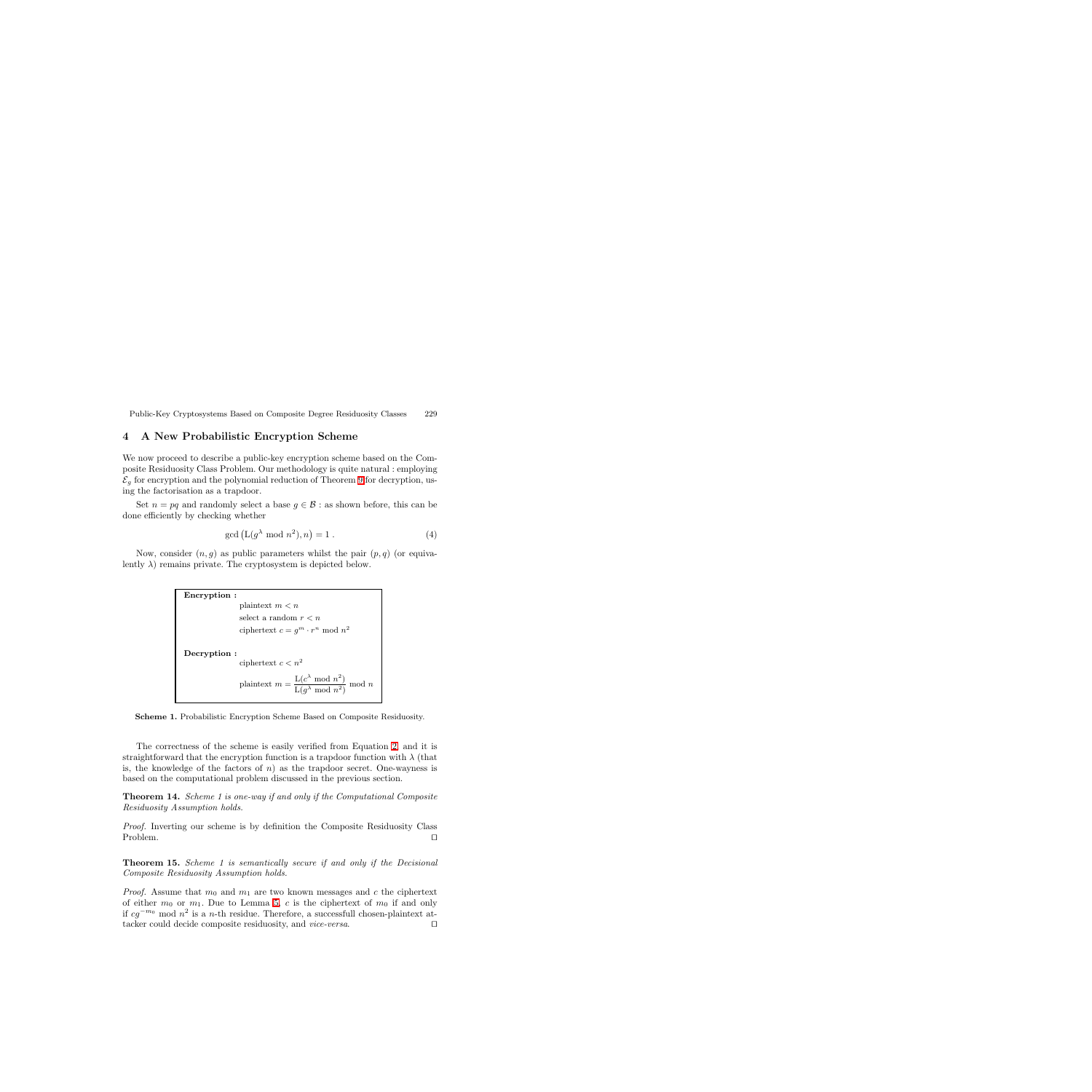#### <span id="page-6-0"></span>**4 A New Probabilistic Encryption Scheme**

We now proceed to describe a public-key encryption scheme based on the Composite Residuosity Class Problem. Our methodology is quite natural : employing  $\mathcal{E}_q$  for encryption and the polynomial reduction of Theorem [9](#page-4-1) for decryption, using the factorisation as a trapdoor.

Set  $n = pq$  and randomly select a base  $q \in \mathcal{B}$ : as shown before, this can be done efficiently by checking whether

<span id="page-6-1"></span>
$$
\gcd\left(\mathcal{L}(g^{\lambda} \bmod n^2), n\right) = 1.
$$
 (4)

Now, consider  $(n, g)$  as public parameters whilst the pair  $(p, q)$  (or equivalently  $\lambda$ ) remains private. The cryptosystem is depicted below.

```
Encryption :
                    plaintext m < nselect a random r < nciphertext c = q^m \cdot r^n \mod n^2Decryption :
                    ciphertext c < n^2plaintext m = \frac{\text{L}(c^{\lambda} \mod n^2)}{\text{L}(g^{\lambda} \mod n^2)} \mod n
```
**Scheme 1.** Probabilistic Encryption Scheme Based on Composite Residuosity.

The correctness of the scheme is easily verified from Equation [2,](#page-4-2) and it is straightforward that the encryption function is a trapdoor function with  $\lambda$  (that is, the knowledge of the factors of  $n$ ) as the trapdoor secret. One-wayness is based on the computational problem discussed in the previous section.

**Theorem 14.** *Scheme 1 is one-way if and only if the Computational Composite Residuosity Assumption holds.*

*Proof.* Inverting our scheme is by definition the Composite Residuosity Class Problem.

**Theorem 15.** *Scheme 1 is semantically secure if and only if the Decisional Composite Residuosity Assumption holds.*

*Proof.* Assume that  $m_0$  and  $m_1$  are two known messages and c the ciphertext of either  $m_0$  or  $m_1$ . Due to Lemma [5,](#page-3-2) c is the ciphertext of  $m_0$  if and only if  $cg^{-m_0}$  mod  $n^2$  is a *n*-th residue. Therefore, a successfull chosen-plaintext attacker could decide composite residuosity, and *vice-versa*. □ tacker could decide composite residuosity, and *vice-versa*.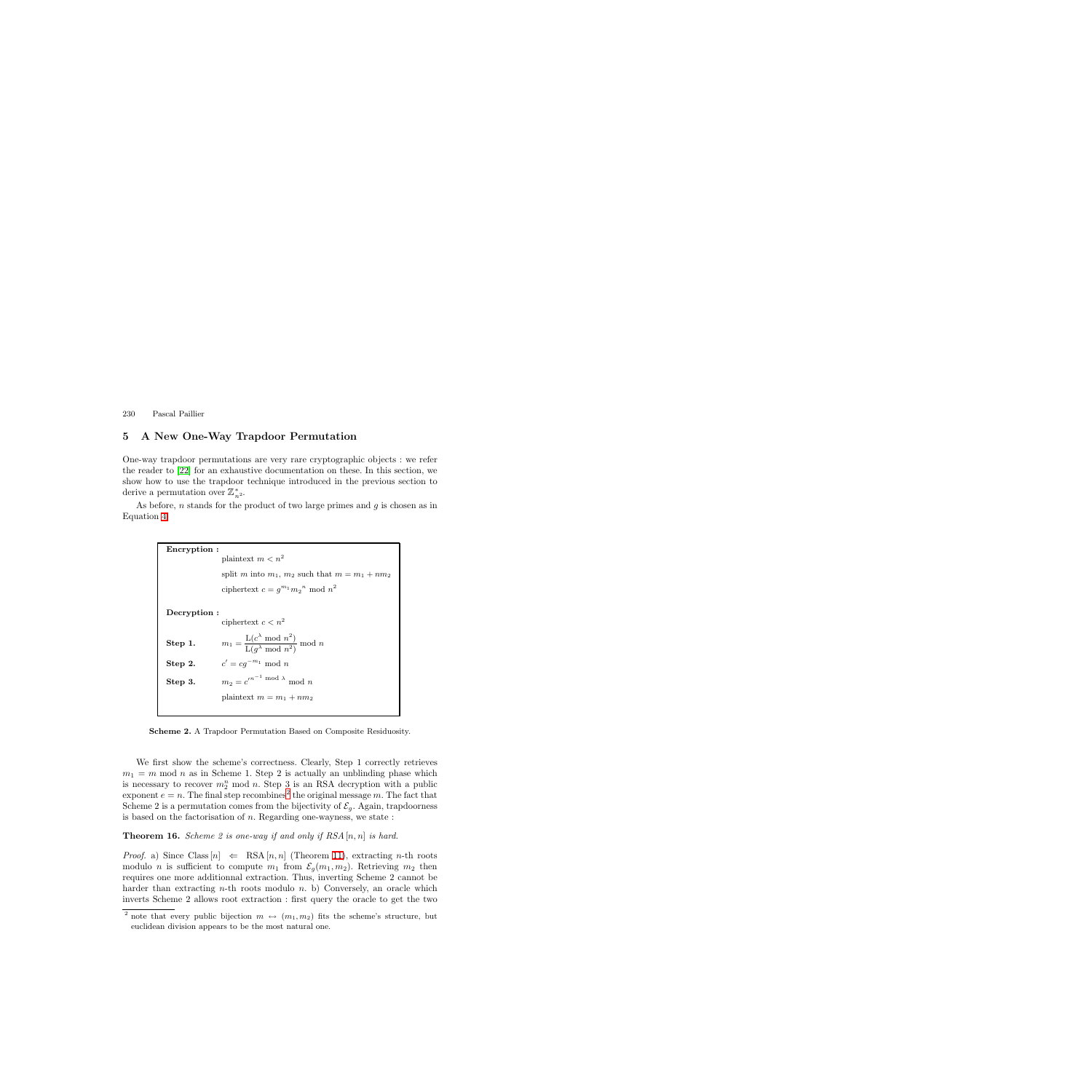# <span id="page-7-0"></span>**5 A New One-Way Trapdoor Permutation**

One-way trapdoor permutations are very rare cryptographic objects : we refer the reader to [\[22\]](#page-15-12) for an exhaustive documentation on these. In this section, we show how to use the trapdoor technique introduced in the previous section to derive a permutation over  $\mathbb{Z}_{n^2}^*$ .

As before,  $n$  stands for the product of two large primes and  $g$  is chosen as in Equation [4.](#page-6-1)

> **Encryption :** plaintext  $m < n^2$ split m into  $m_1$ ,  $m_2$  such that  $m = m_1 + nm_2$ ciphertext  $c = g^{m_1} m_2^{\ n} \mod n^2$ **Decryption :** ciphertext $c < n^2$ **Step 1.**  $m_1 = \frac{\text{L}(c^{\lambda} \mod n^2)}{\text{L}(g^{\lambda} \mod n^2)} \mod n$ **Step 2.**  $c' = cg^{-m_1} \mod n$ **Step 3.**  $m_2 = c^{n-1} \bmod \lambda \mod n$ plaintext  $m = m_1 + nm_2$

**Scheme 2.** A Trapdoor Permutation Based on Composite Residuosity.

We first show the scheme's correctness. Clearly, Step 1 correctly retrieves  $m_1 = m$  mod n as in Scheme 1. Step 2 is actually an unblinding phase which is necessary to recover  $m_2^n$  mod n. Step 3 is an RSA decryption with a public<br>exponent  $e - n$ . The final step recombines<sup>2</sup> the original message m. The fact that exponent  $e = n$ . The final step recombines<sup>[2](#page-7-1)</sup> the original message m. The fact that Scheme 2 is a permutation comes from the bijectivity of  $\mathcal{E}_g$ . Again, trapdoorness is based on the factorisation of  $n$ . Regarding one-wayness, we state :

#### <span id="page-7-2"></span>**Theorem 16.** *Scheme 2 is one-way if and only if RSA* [n, n] *is hard.*

*Proof.* a) Since Class  $[n] \Leftarrow$  RSA  $[n, n]$  (Theorem [11\)](#page-4-3), extracting *n*-th roots modulo *n* is sufficient to compute  $m_1$  from  $\mathcal{E}_g(m_1, m_2)$ . Retrieving  $m_2$  then requires one more additionnal extraction. Thus, inverting Scheme 2 cannot be harder than extracting *n*-th roots modulo *n*. b) Conversely, an oracle which inverts Scheme 2 allows root extraction : first query the oracle to get the two

<span id="page-7-1"></span><sup>&</sup>lt;sup>2</sup> note that every public bijection  $m \leftrightarrow (m_1, m_2)$  fits the scheme's structure, but euclidean division appears to be the most natural one.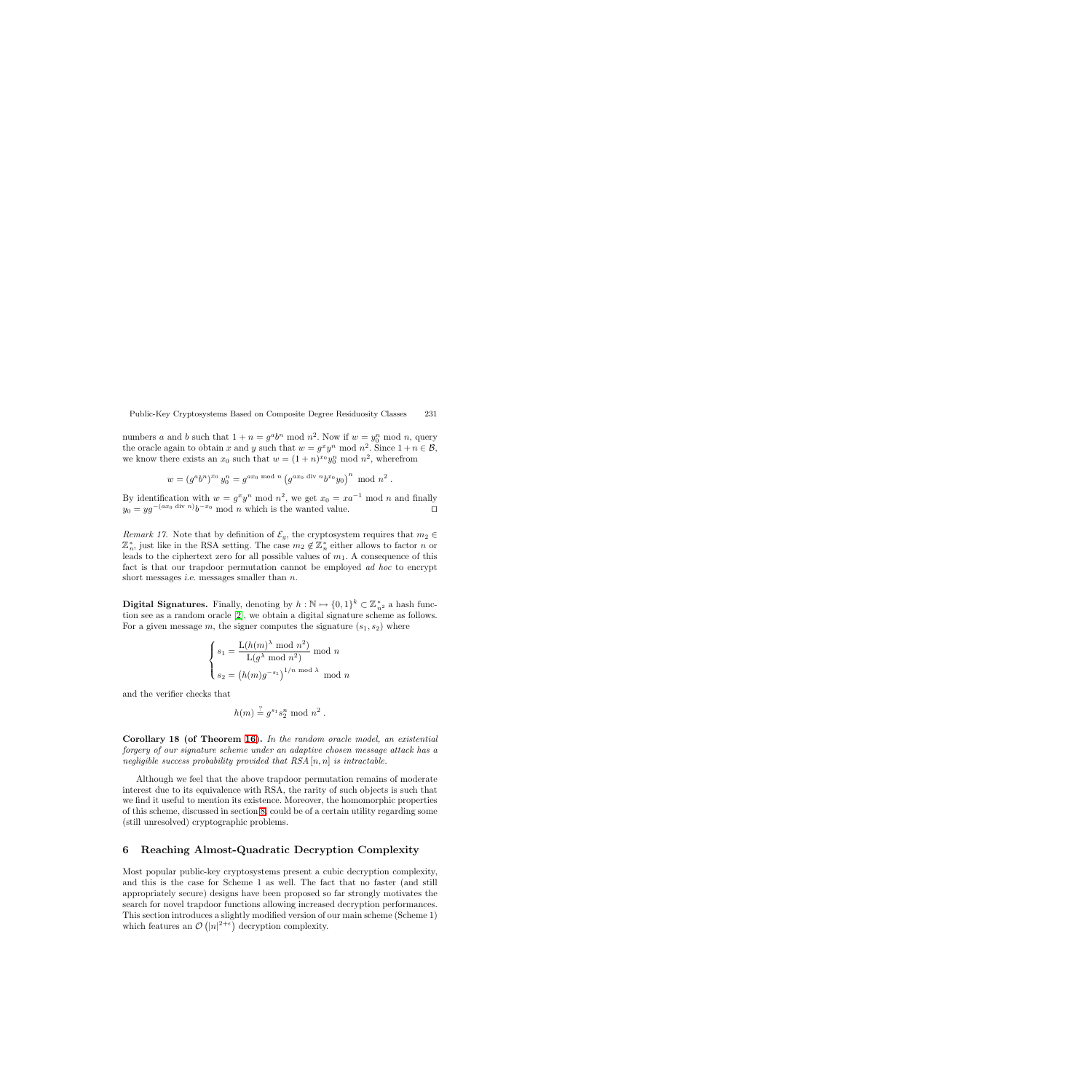numbers a and b such that  $1 + n = g^a b^n \mod n^2$ . Now if  $w = y_0^n \mod n$ , query<br>the oracle again to obtain x and y such that  $w = a^x y_0^n \mod n^2$ . Since  $1 + n \in \mathcal{B}$ . the oracle again to obtain x and y such that  $w = g^x y^n \text{ mod } n^2$ . Since  $1 + n \in \mathcal{B}$ , we know there exists an  $x_0$  such that  $w = (1 + n)^{x_0} y_0^n \text{ mod } n^2$ , wherefrom

$$
w = (g^a b^n)^{x_0} y_0^n = g^{ax_0 \mod n} (g^{ax_0 \text{ div } n} b^{x_0} y_0)^n \mod n^2.
$$

By identification with  $w = g^x y^n \mod n^2$ , we get  $x_0 = x a^{-1} \mod n$  and finally  $y_0 = y a^{-(ax_0 \text{ div } n)} b^{-x_0} \mod n$  which is the wanted value.  $y_0 = yg^{-(ax_0 \text{ div } n)}b^{-x_0} \text{ mod } n$  which is the wanted value.

*Remark 17.* Note that by definition of  $\mathcal{E}_g$ , the cryptosystem requires that  $m_2 \in$  $\mathbb{Z}_n^*$ , just like in the RSA setting. The case  $m_2 \notin \mathbb{Z}_n^*$  either allows to factor n or lacked to the ciphertext zero for all possible values of  $m_1$ . A consequence of this leads to the ciphertext zero for all possible values of  $m_1$ . A consequence of this fact is that our trapdoor permutation cannot be employed *ad hoc* to encrypt short messages *i.e.* messages smaller than *n*.

**Digital Signatures.** Finally, denoting by  $h : \mathbb{N} \mapsto \{0, 1\}^k \subset \mathbb{Z}_{n^2}^*$  a hash function see as a random oracle [2], we obtain a digital signature scheme as follows. tion see as a random oracle [\[2\]](#page-14-13), we obtain a digital signature scheme as follows. For a given message m, the signer computes the signature  $(s_1, s_2)$  where

$$
\begin{cases}\ns_1 = \frac{\text{L}(h(m)^\lambda \mod n^2)}{\text{L}(g^\lambda \mod n^2)} \mod n \\
s_2 = (h(m)g^{-s_1})^{1/n \mod \lambda} \mod n\n\end{cases}
$$

and the verifier checks that

$$
h(m) \stackrel{?}{=} g^{s_1} s_2^n \bmod n^2.
$$

**Corollary 18 (of Theorem [16\)](#page-7-2).** *In the random oracle model, an existential forgery of our signature scheme under an adaptive chosen message attack has a negligible success probability provided that RSA* [n, n] *is intractable.*

Although we feel that the above trapdoor permutation remains of moderate interest due to its equivalence with RSA, the rarity of such objects is such that we find it useful to mention its existence. Moreover, the homomorphic properties of this scheme, discussed in section [8,](#page-12-0) could be of a certain utility regarding some (still unresolved) cryptographic problems.

#### <span id="page-8-0"></span>**6 Reaching Almost-Quadratic Decryption Complexity**

Most popular public-key cryptosystems present a cubic decryption complexity, and this is the case for Scheme 1 as well. The fact that no faster (and still appropriately secure) designs have been proposed so far strongly motivates the search for novel trapdoor functions allowing increased decryption performances. This section introduces a slightly modified version of our main scheme (Scheme 1) which features an  $\mathcal{O}(|n|^{2+\epsilon})$  decryption complexity.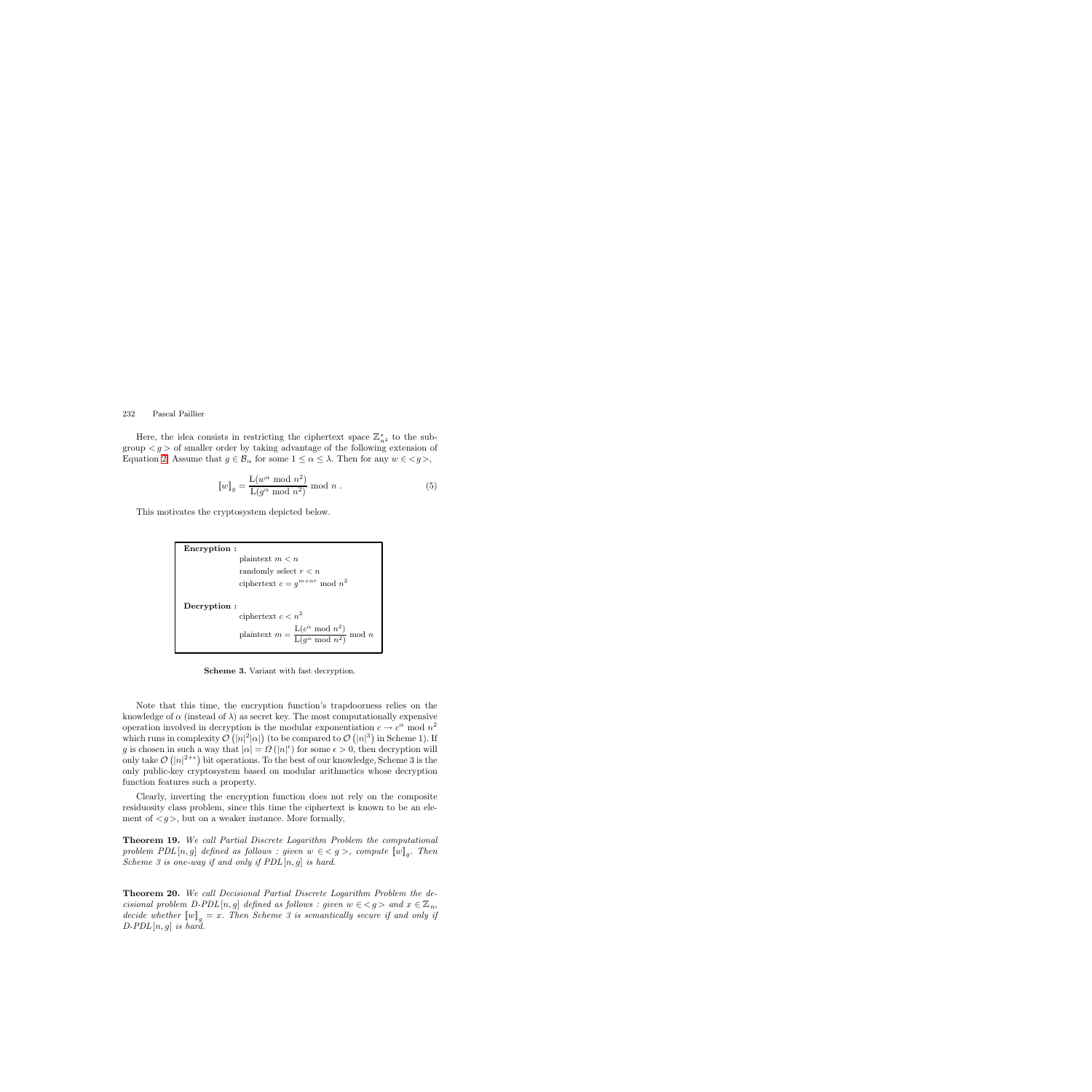Here, the idea consists in restricting the ciphertext space  $\mathbb{Z}_{n^2}^*$  to the sub-<br>up  $\leq a >$  of smaller order by taking advantage of the following extension of group  $\langle g \rangle$  of smaller order by taking advantage of the following extension of Equation [2.](#page-4-2) Assume that  $g \in \mathcal{B}_{\alpha}$  for some  $1 \leq \alpha \leq \lambda$ . Then for any  $w \in \langle g \rangle$ ,

$$
[\![w]\!]_g = \frac{\mathcal{L}(w^{\alpha} \bmod n^2)}{\mathcal{L}(g^{\alpha} \bmod n^2)} \bmod n .
$$
 (5)

This motivates the cryptosystem depicted below.

```
Encryption :
                   plaintext m < nrandomly select r < nciphertext c = g^{m+nr} mod n^2Decryption :
                   ciphertext c < n^2plaintext m = \frac{\text{L}(c^{\alpha} \mod n^2)}{\text{L}(g^{\alpha} \mod n^2)} \mod n
```
**Scheme 3.** Variant with fast decryption.

Note that this time, the encryption function's trapdoorness relies on the knowledge of  $\alpha$  (instead of  $\lambda$ ) as secret key. The most computationally expensive operation involved in decryption is the modular exponentiation  $c \to c^{\alpha}$  mod  $n^2$ which runs in complexity  $\mathcal{O}(|n|^2|\alpha|)$  (to be compared to  $\mathcal{O}(|n|^3)$  in Scheme 1). If g is chosen in such a way that  $|\alpha| = \Omega(|n|\epsilon)$  for some  $\epsilon > 0$ , then decryption will<br>only take  $\mathcal{O}(|n|^{2+\epsilon})$  bit operations. To the best of our knowledge, Scheme 3 is the only take  $\mathcal{O}(|n|^{2+\epsilon})$  bit operations. To the best of our knowledge, Scheme 3 is the only public-key cryptosystem based on modular arithmetics whose decryption only public-key cryptosystem based on modular arithmetics whose decryption function features such a property.

Clearly, inverting the encryption function does not rely on the composite residuosity class problem, since this time the ciphertext is known to be an element of  $\langle g \rangle$ , but on a weaker instance. More formally,

**Theorem 19.** *We call Partial Discrete Logarithm Problem the computational problem PDL*  $[n, g]$  *defined as follows : given*  $w \in \{g\}$ , *compute*  $\llbracket w \rrbracket_q$ *. Then Scheme 3 is one-way if and only if PDL* [n, g] *is hard.*

**Theorem 20.** *We call Decisional Partial Discrete Logarithm Problem the decisional problem D-PDL* [n, g] *defined as follows : given*  $w \in \langle g \rangle$  and  $x \in \mathbb{Z}_n$ , *decide whether*  $\llbracket w \rrbracket_q = x$ . Then Scheme 3 is semantically secure if and only if *D-PDL*[n, g] *is hard.*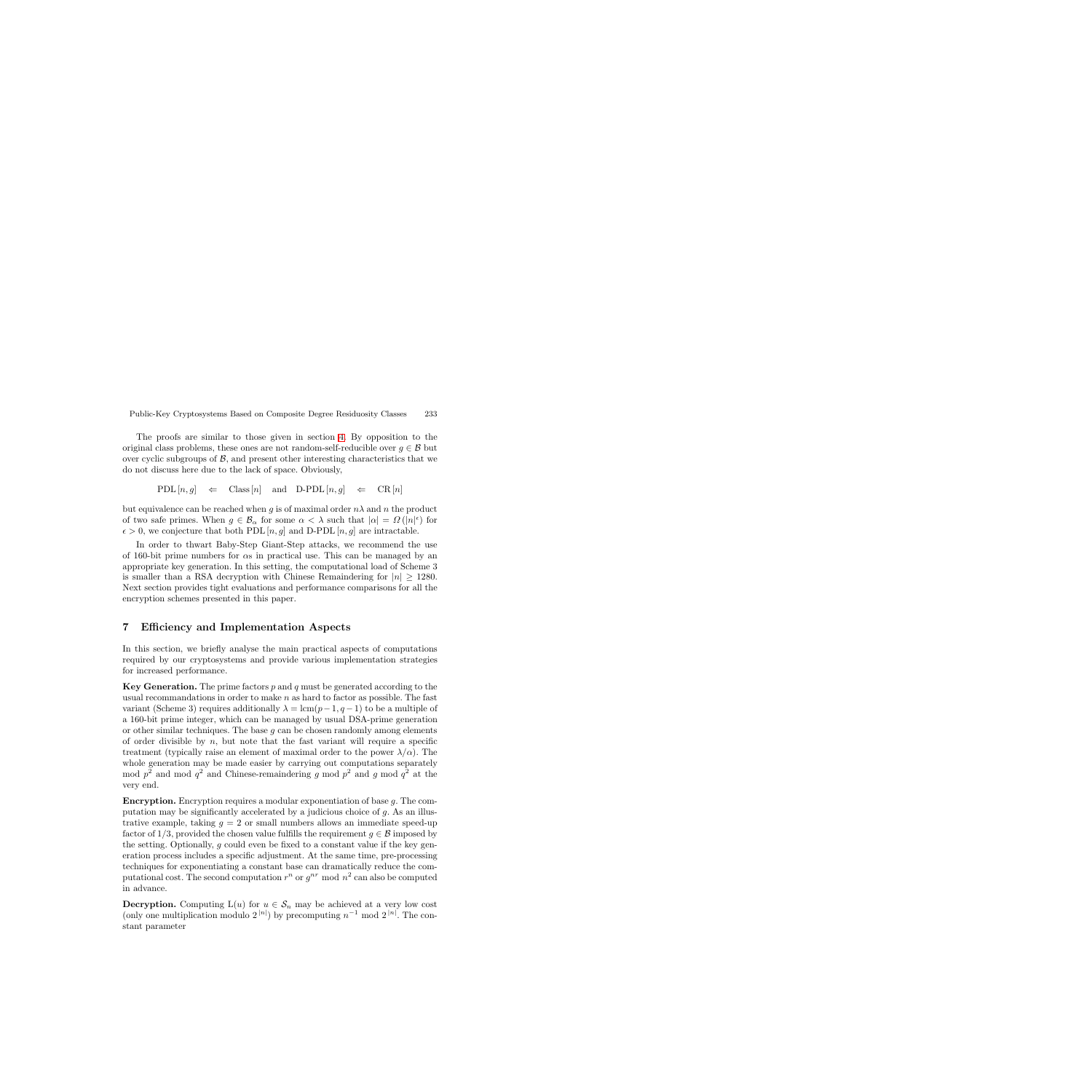The proofs are similar to those given in section [4.](#page-6-0) By opposition to the original class problems, these ones are not random-self-reducible over  $g \in \mathcal{B}$  but over cyclic subgroups of  $\mathcal{B}$ , and present other interesting characteristics that we do not discuss here due to the lack of space. Obviously,

$$
\mathrm{PDL}\left[ n,g \right] \quad \Leftarrow \quad \mathrm{Class}\left[ n \right] \quad \text{and} \quad \mathrm{D}\text{-}\mathrm{PDL}\left[ n,g \right] \quad \Leftarrow \quad \mathrm{CR}\left[ n \right]
$$

but equivalence can be reached when g is of maximal order  $n\lambda$  and n the product of two safe primes. When  $g \in \mathcal{B}_{\alpha}$  for some  $\alpha < \lambda$  such that  $|\alpha| = \Omega(|n|^{\epsilon})$  for  $\epsilon > 0$ , we conjecture that both PDL  $[n, a]$  and D-PDL  $[n, a]$  are intractable  $\epsilon > 0$ , we conjecture that both PDL [n, g] and D-PDL [n, g] are intractable.

In order to thwart Baby-Step Giant-Step attacks, we recommend the use of 160-bit prime numbers for  $\alpha s$  in practical use. This can be managed by an appropriate key generation. In this setting, the computational load of Scheme 3 is smaller than a RSA decryption with Chinese Remaindering for  $|n| > 1280$ . Next section provides tight evaluations and performance comparisons for all the encryption schemes presented in this paper.

#### **7 Efficiency and Implementation Aspects**

In this section, we briefly analyse the main practical aspects of computations required by our cryptosystems and provide various implementation strategies for increased performance.

**Key Generation.** The prime factors  $p$  and  $q$  must be generated according to the usual recommandations in order to make n as hard to factor as possible. The fast variant (Scheme 3) requires additionally  $\lambda = \text{lcm}(p-1, q-1)$  to be a multiple of a 160-bit prime integer, which can be managed by usual DSA-prime generation or other similar techniques. The base  $g$  can be chosen randomly among elements of order divisible by  $n$ , but note that the fast variant will require a specific treatment (typically raise an element of maximal order to the power  $\lambda/\alpha$ ). The whole generation may be made easier by carrying out computations separately mod  $p^2$  and mod  $q^2$  and Chinese-remaindering g mod  $p^2$  and g mod  $q^2$  at the very end.

**Encryption.** Encryption requires a modular exponentiation of base g. The computation may be significantly accelerated by a judicious choice of  $g$ . As an illustrative example, taking  $q = 2$  or small numbers allows an immediate speed-up factor of  $1/3$ , provided the chosen value fulfills the requirement  $g \in \mathcal{B}$  imposed by the setting. Optionally, g could even be fixed to a constant value if the key generation process includes a specific adjustment. At the same time, pre-processing techniques for exponentiating a constant base can dramatically reduce the computational cost. The second computation  $r^n$  or  $g^{nr}$  mod  $n^2$  can also be computed in advance.

**Decryption.** Computing  $L(u)$  for  $u \in S_n$  may be achieved at a very low cost (only one multiplication modulo  $2^{|n|}$ ) by precomputing  $n^{-1}$  mod  $2^{|n|}$ . The constant parameter stant parameter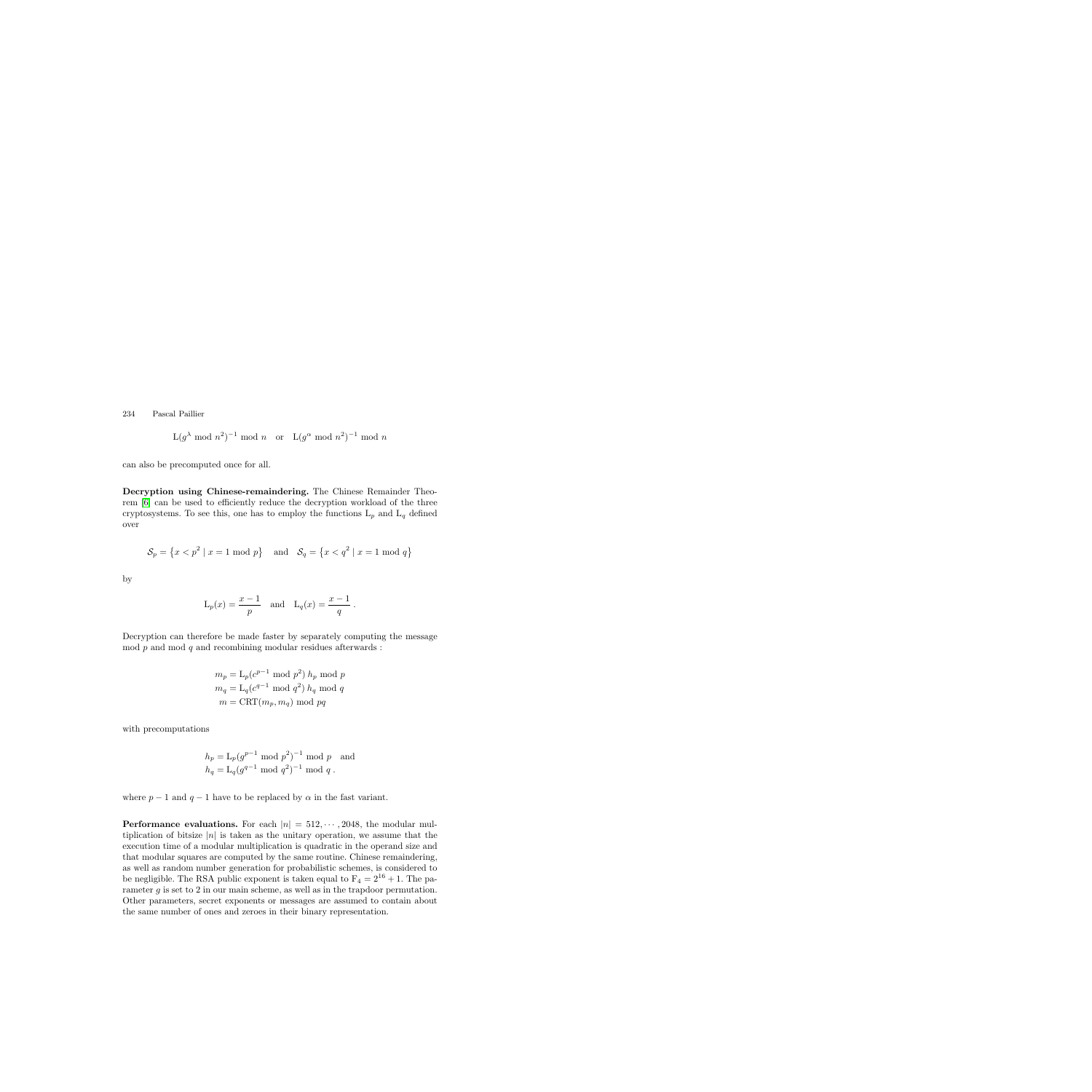$$
L(g^{\lambda} \bmod n^2)^{-1} \bmod n \quad \text{or} \quad L(g^{\alpha} \bmod n^2)^{-1} \bmod n
$$

can also be precomputed once for all.

**Decryption using Chinese-remaindering.** The Chinese Remainder Theorem [\[6\]](#page-14-14) can be used to efficiently reduce the decryption workload of the three cryptosystems. To see this, one has to employ the functions  $L_p$  and  $L_q$  defined over

$$
S_p = \{x < p^2 \mid x = 1 \mod p\}
$$
 and  $S_q = \{x < q^2 \mid x = 1 \mod q\}$ 

by

$$
L_p(x) = \frac{x-1}{p}
$$
 and  $L_q(x) = \frac{x-1}{q}$ .

Decryption can therefore be made faster by separately computing the message mod  $p$  and mod  $q$  and recombining modular residues afterwards :

> $m_p = L_p(c^{p-1} \mod p^2) h_p \mod p$  $m_q = \mathcal{L}_q(c^{q-1} \mod q^2) h_q \mod q$  $m = \text{CRT}(m_p, m_q) \text{ mod } pq$

with precomputations

$$
h_p = L_p(g^{p-1} \mod p^2)^{-1} \mod p
$$
 and  
 $h_q = L_q(g^{q-1} \mod q^2)^{-1} \mod q$ .

where  $p-1$  and  $q-1$  have to be replaced by  $\alpha$  in the fast variant.

**Performance evaluations.** For each  $|n| = 512, \dots, 2048$ , the modular multiplication of bitsize  $|n|$  is taken as the unitary operation, we assume that the execution time of a modular multiplication is quadratic in the operand size and that modular squares are computed by the same routine. Chinese remaindering, as well as random number generation for probabilistic schemes, is considered to be negligible. The RSA public exponent is taken equal to  $F_4 = 2^{16} + 1$ . The parameter  $q$  is set to 2 in our main scheme, as well as in the trapdoor permutation. Other parameters, secret exponents or messages are assumed to contain about the same number of ones and zeroes in their binary representation.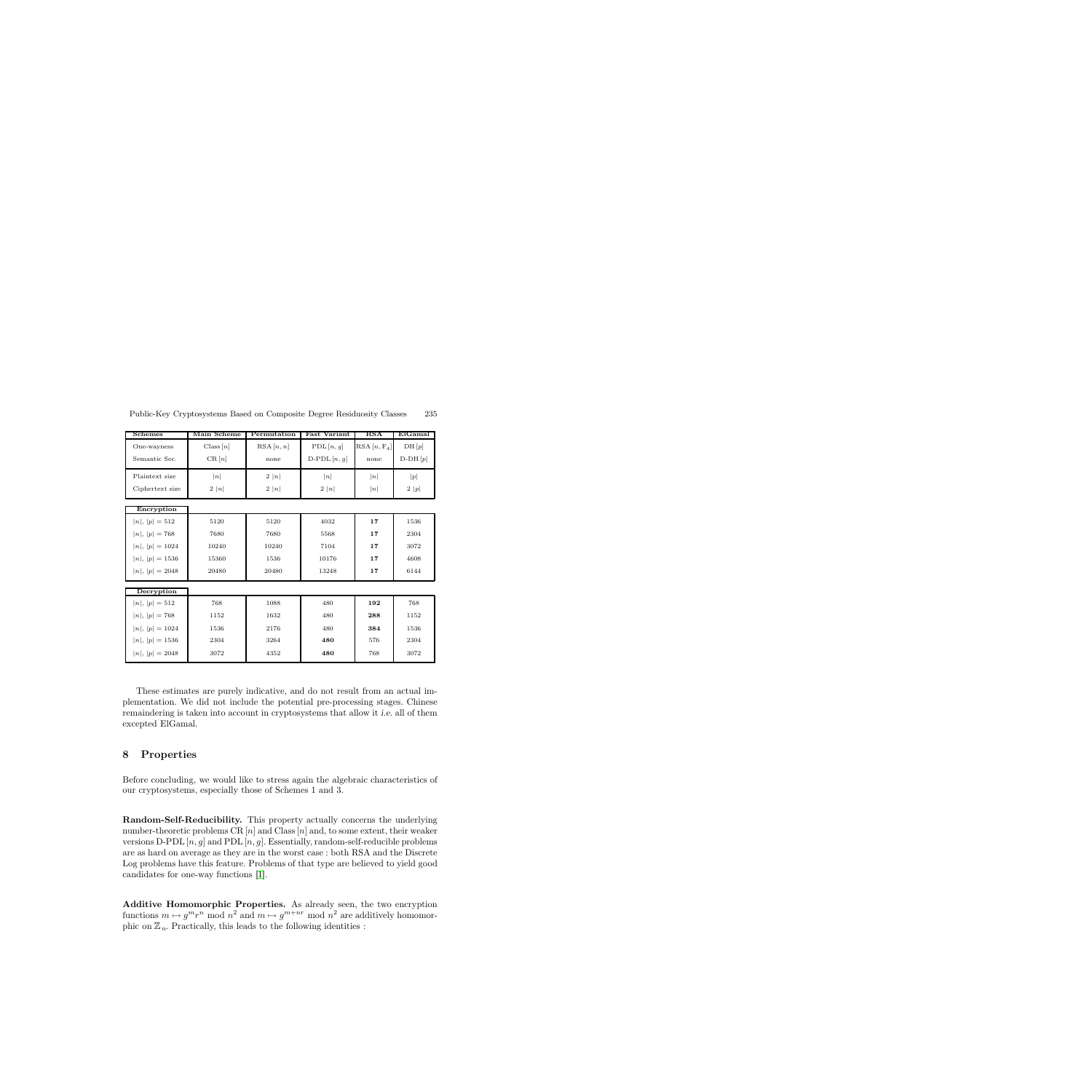| <b>Schemes</b>    | Main Scheme | Permutation | Fast Variant   | RSA           | ElGamal   |
|-------------------|-------------|-------------|----------------|---------------|-----------|
| One-wayness       | Class[n]    | RSA[n, n]   | PDL[n,g]       | $RSA[n, F_4]$ | DH[p]     |
| Semantic Sec.     | CR[n]       | none        | D-PDL $[n, g]$ | none          | $D-DH[p]$ |
| Plaintext size    | n           | 2  n        | n              | n             | p         |
| Ciphertext size   | 2  n        | 2  n        | 2  n           | n             | 2 p       |
| Encryption        |             |             |                |               |           |
| $ n ,  p  = 512$  | 5120        | 5120        | 4032           | 17            | 1536      |
| $ n ,  p  = 768$  | 7680        | 7680        | 5568           | 17            | 2304      |
| $ n ,  p  = 1024$ | 10240       | 10240       | 7104           | 17            | 3072      |
| $ n ,  p  = 1536$ | 15360       | 1536        | 10176          | 17            | 4608      |
| $ n ,  p  = 2048$ | 20480       | 20480       | 13248          | 17            | 6144      |
| Decryption        |             |             |                |               |           |
| $ n ,  p  = 512$  | 768         | 1088        | 480            | 192           | 768       |
| $ n ,  p  = 768$  | 1152        | 1632        | 480            | 288           | 1152      |
| $ n ,  p  = 1024$ | 1536        | 2176        | 480            | 384           | 1536      |
| $ n ,  p  = 1536$ | 2304        | 3264        | 480            | 576           | 2304      |
| $ n ,  p  = 2048$ | 3072        | 4352        | 480            | 768           | 3072      |

These estimates are purely indicative, and do not result from an actual implementation. We did not include the potential pre-processing stages. Chinese remaindering is taken into account in cryptosystems that allow it *i.e.* all of them excepted ElGamal.

#### <span id="page-12-0"></span>**8 Properties**

Before concluding, we would like to stress again the algebraic characteristics of our cryptosystems, especially those of Schemes 1 and 3.

**Random-Self-Reducibility.** This property actually concerns the underlying number-theoretic problems CR  $[n]$  and Class  $[n]$  and, to some extent, their weaker versions D-PDL  $[n, g]$  and PDL  $[n, g]$ . Essentially, random-self-reducible problems are as hard on average as they are in the worst case : both RSA and the Discrete Log problems have this feature. Problems of that type are believed to yield good candidates for one-way functions [\[1\]](#page-14-10).

**Additive Homomorphic Properties.** As already seen, the two encryption functions  $m \mapsto g^m r^n \mod n^2$  and  $m \mapsto g^{m+nr} \mod n^2$  are additively homomorphic on  $\mathbb{Z}_n$ . Practically, this leads to the following identities :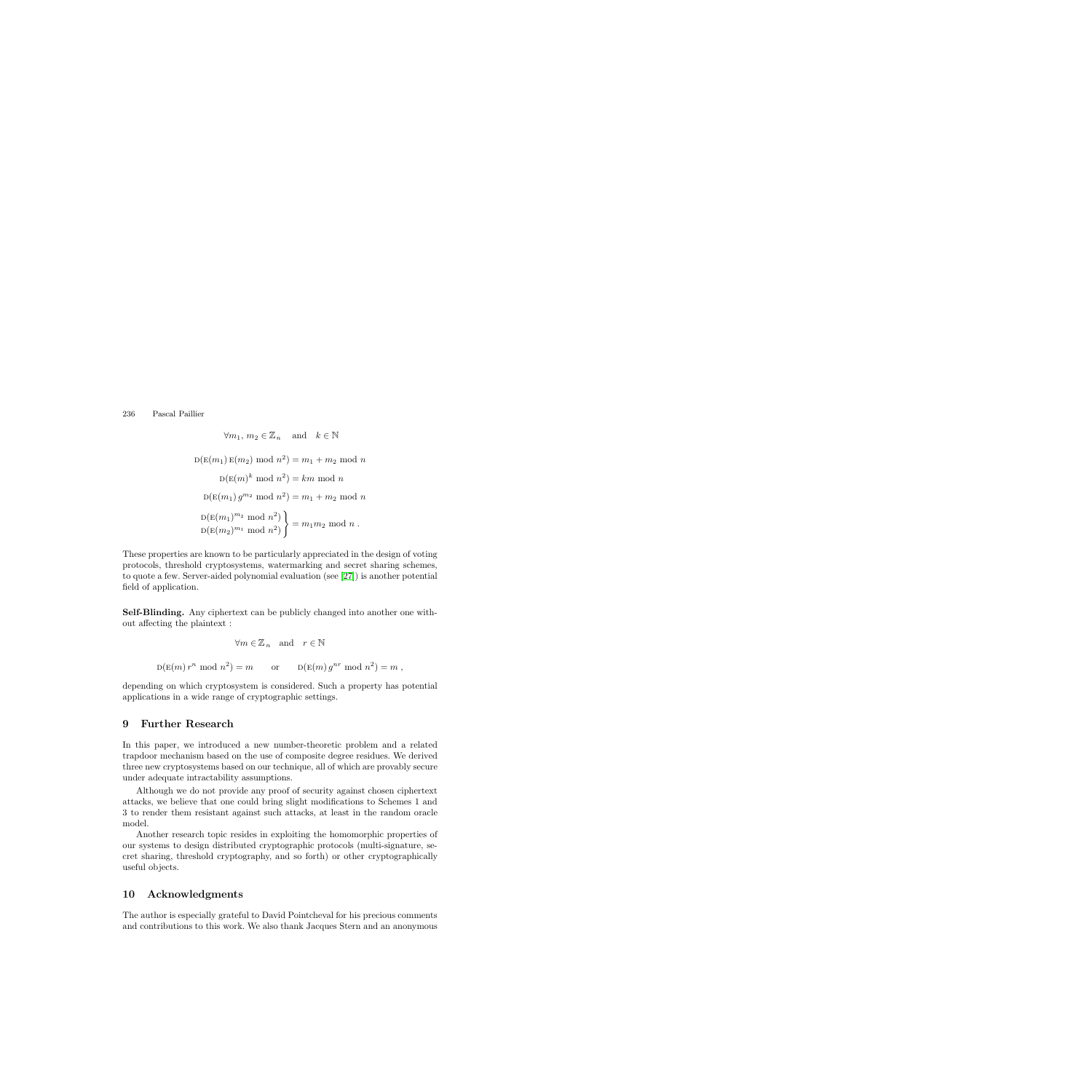$$
\forall m_1, m_2 \in \mathbb{Z}_n \text{ and } k \in \mathbb{N}
$$
  

$$
D(E(m_1) E(m_2) mod n^2) = m_1 + m_2 mod n
$$
  

$$
D(E(m)^k mod n^2) = km mod n
$$
  

$$
D(E(m_1) g^{m_2} mod n^2) = m_1 + m_2 mod n
$$
  

$$
D(E(m_1)^{m_2} mod n^2) \}
$$
  

$$
D(E(m_2)^{m_1} mod n^2) \}
$$
  

$$
= m_1 m_2 mod n.
$$

These properties are known to be particularly appreciated in the design of voting protocols, threshold cryptosystems, watermarking and secret sharing schemes, to quote a few. Server-aided polynomial evaluation (see [\[27\]](#page-15-13)) is another potential field of application.

**Self-Blinding.** Any ciphertext can be publicly changed into another one without affecting the plaintext :

$$
\forall m \in \mathbb{Z}_n \text{ and } r \in \mathbb{N}
$$
  

$$
D(E(m) r^n \mod n^2) = m \text{ or } D(E(m) g^{nr} \mod n^2) = m ,
$$

depending on which cryptosystem is considered. Such a property has potential applications in a wide range of cryptographic settings.

## **9 Further Research**

In this paper, we introduced a new number-theoretic problem and a related trapdoor mechanism based on the use of composite degree residues. We derived three new cryptosystems based on our technique, all of which are provably secure under adequate intractability assumptions.

Although we do not provide any proof of security against chosen ciphertext attacks, we believe that one could bring slight modifications to Schemes 1 and 3 to render them resistant against such attacks, at least in the random oracle model.

Another research topic resides in exploiting the homomorphic properties of our systems to design distributed cryptographic protocols (multi-signature, secret sharing, threshold cryptography, and so forth) or other cryptographically useful objects.

## **10 Acknowledgments**

The author is especially grateful to David Pointcheval for his precious comments and contributions to this work. We also thank Jacques Stern and an anonymous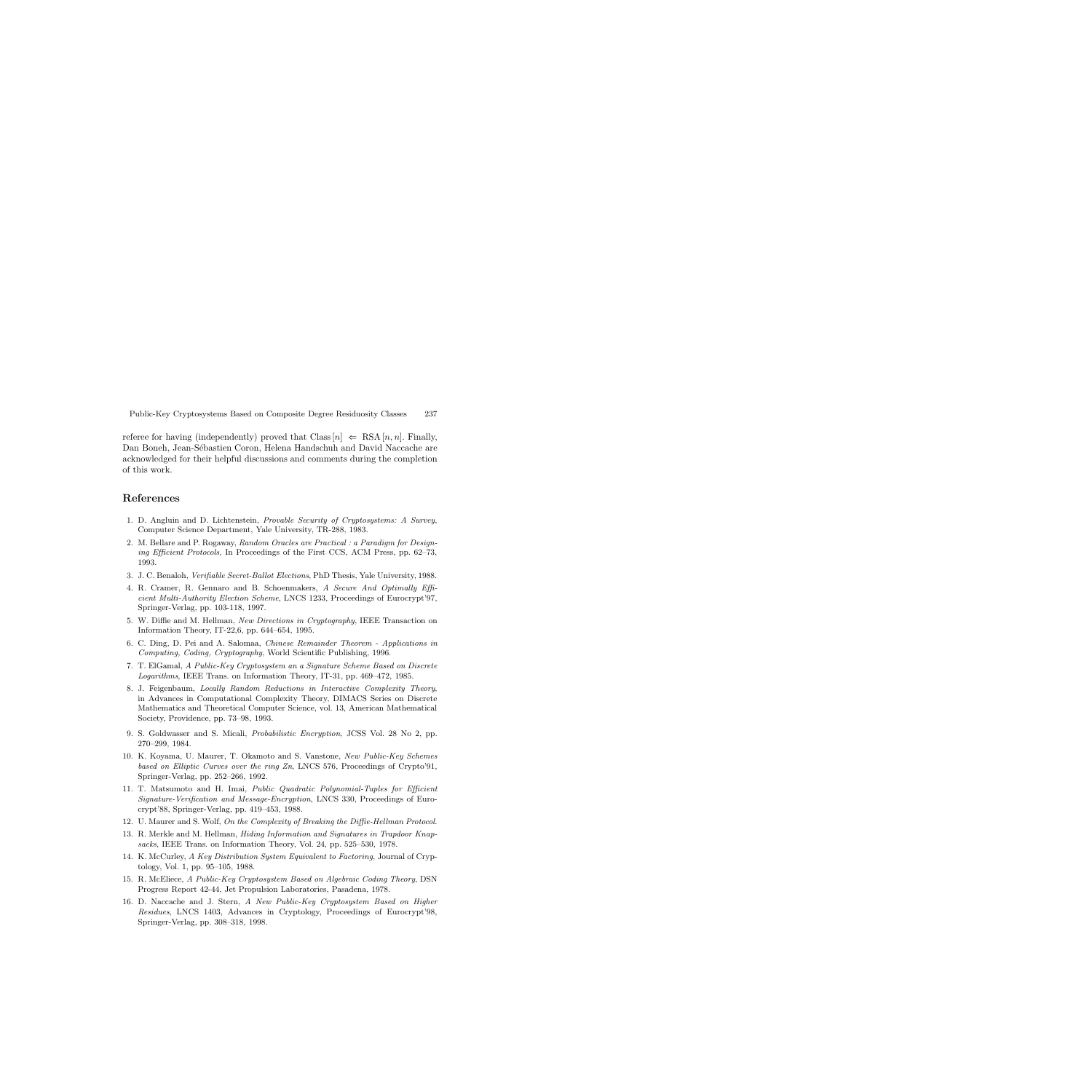referee for having (independently) proved that Class  $|n| \Leftarrow$  RSA  $|n, n|$ . Finally, Dan Boneh, Jean-Sébastien Coron, Helena Handschuh and David Naccache are acknowledged for their helpful discussions and comments during the completion of this work.

#### <span id="page-14-10"></span>**References**

- 1. D. Angluin and D. Lichtenstein, Provable Security of Cryptosystems: A Survey, Computer Science Department, Yale University, TR-288, 1983.
- <span id="page-14-13"></span>2. M. Bellare and P. Rogaway, Random Oracles are Practical : a Paradigm for Designing Efficient Protocols, In Proceedings of the First CCS, ACM Press, pp. 62–73, 1993.
- <span id="page-14-12"></span>3. J. C. Benaloh, Verifiable Secret-Ballot Elections, PhD Thesis, Yale University, 1988.
- 4. R. Cramer, R. Gennaro and B. Schoenmakers, A Secure And Optimally Efficient Multi-Authority Election Scheme, LNCS 1233, Proceedings of Eurocrypt'97, Springer-Verlag, pp. 103-118, 1997.
- <span id="page-14-0"></span>5. W. Diffie and M. Hellman, New Directions in Cryptography, IEEE Transaction on Information Theory, IT-22,6, pp. 644–654, 1995.
- <span id="page-14-14"></span><span id="page-14-2"></span>6. C. Ding, D. Pei and A. Salomaa, Chinese Remainder Theorem - Applications in Computing, Coding, Cryptography, World Scientific Publishing, 1996.
- 7. T. ElGamal, A Public-Key Cryptosystem an a Signature Scheme Based on Discrete Logarithms, IEEE Trans. on Information Theory, IT-31, pp. 469–472, 1985.
- <span id="page-14-11"></span>8. J. Feigenbaum, Locally Random Reductions in Interactive Complexity Theory, in Advances in Computational Complexity Theory, DIMACS Series on Discrete Mathematics and Theoretical Computer Science, vol. 13, American Mathematical Society, Providence, pp. 73–98, 1993.
- <span id="page-14-8"></span>9. S. Goldwasser and S. Micali, Probabilistic Encryption, JCSS Vol. 28 No 2, pp. 270–299, 1984.
- <span id="page-14-1"></span>10. K. Koyama, U. Maurer, T. Okamoto and S. Vanstone, New Public-Key Schemes based on Elliptic Curves over the ring Zn, LNCS 576, Proceedings of Crypto'91, Springer-Verlag, pp. 252–266, 1992.
- <span id="page-14-7"></span>11. T. Matsumoto and H. Imai, Public Quadratic Polynomial-Tuples for Efficient Signature-Verification and Message-Encryption, LNCS 330, Proceedings of Eurocrypt'88, Springer-Verlag, pp. 419–453, 1988.
- <span id="page-14-6"></span><span id="page-14-4"></span>12. U. Maurer and S. Wolf, On the Complexity of Breaking the Diffie-Hellman Protocol.
- 13. R. Merkle and M. Hellman, *Hiding Information and Signatures in Trapdoor Knap*sacks, IEEE Trans. on Information Theory, Vol. 24, pp. 525–530, 1978.
- <span id="page-14-3"></span>14. K. McCurley, A Key Distribution System Equivalent to Factoring, Journal of Cryptology, Vol. 1, pp. 95–105, 1988.
- <span id="page-14-5"></span>15. R. McEliece, A Public-Key Cryptosystem Based on Algebraic Coding Theory, DSN Progress Report 42-44, Jet Propulsion Laboratories, Pasadena, 1978.
- <span id="page-14-9"></span>16. D. Naccache and J. Stern, A New Public-Key Cryptosystem Based on Higher Residues, LNCS 1403, Advances in Cryptology, Proceedings of Eurocrypt'98, Springer-Verlag, pp. 308–318, 1998.